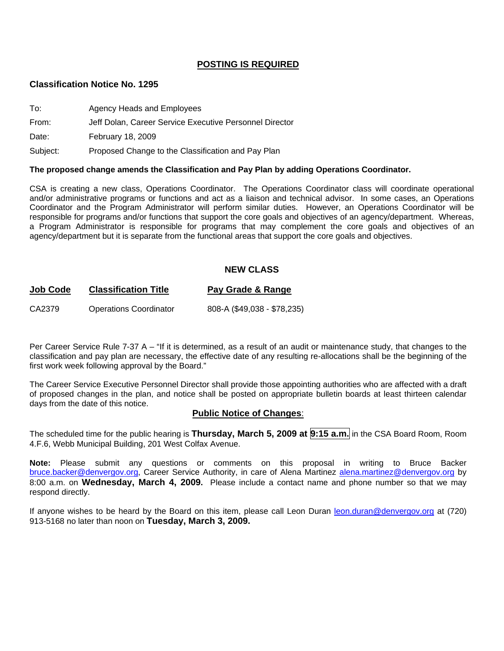# **POSTING IS REQUIRED**

#### **Classification Notice No. 1295**

| To:   | Agency Heads and Employees                              |
|-------|---------------------------------------------------------|
| From: | Jeff Dolan, Career Service Executive Personnel Director |
| Date: | February 18, 2009                                       |

Subject: Proposed Change to the Classification and Pay Plan

#### **The proposed change amends the Classification and Pay Plan by adding Operations Coordinator.**

CSA is creating a new class, Operations Coordinator. The Operations Coordinator class will coordinate operational and/or administrative programs or functions and act as a liaison and technical advisor. In some cases, an Operations Coordinator and the Program Administrator will perform similar duties. However, an Operations Coordinator will be responsible for programs and/or functions that support the core goals and objectives of an agency/department. Whereas, a Program Administrator is responsible for programs that may complement the core goals and objectives of an agency/department but it is separate from the functional areas that support the core goals and objectives.

#### **NEW CLASS**

#### **Job Code Classification Title Pay Grade & Range**

CA2379 Operations Coordinator 808-A (\$49,038 - \$78,235)

Per Career Service Rule 7-37 A – "If it is determined, as a result of an audit or maintenance study, that changes to the classification and pay plan are necessary, the effective date of any resulting re-allocations shall be the beginning of the first work week following approval by the Board."

The Career Service Executive Personnel Director shall provide those appointing authorities who are affected with a draft of proposed changes in the plan, and notice shall be posted on appropriate bulletin boards at least thirteen calendar days from the date of this notice.

#### **Public Notice of Changes**:

The scheduled time for the public hearing is **Thursday, March 5, 2009 at 9:15 a.m.** in the CSA Board Room, Room 4.F.6, Webb Municipal Building, 201 West Colfax Avenue.

**Note:** Please submit any questions or comments on this proposal in writing to Bruce Backer [bruce.backer@denvergov.org,](mailto:bruce.backer@denvergov.org) Career Service Authority, in care of Alena Martinez [alena.martinez@denvergov.org](mailto:alena.martinez@denvergov.org) by 8:00 a.m. on **Wednesday, March 4, 2009.** Please include a contact name and phone number so that we may respond directly.

If anyone wishes to be heard by the Board on this item, please call Leon Duran [leon.duran@denvergov.org](mailto:leon.duran@denvergov.org) at (720) 913-5168 no later than noon on **Tuesday, March 3, 2009.**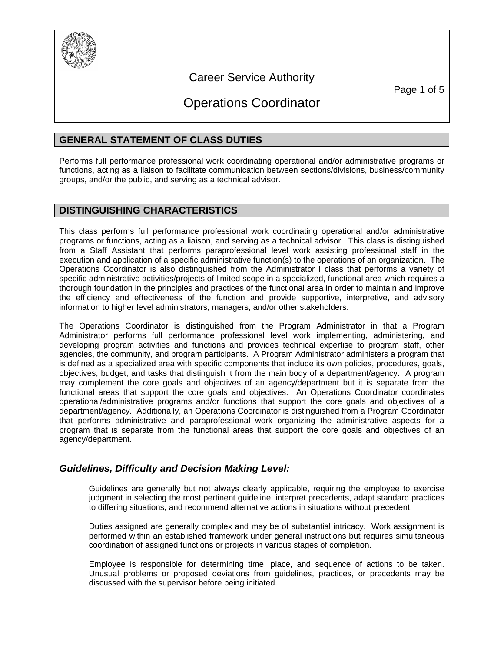

# Career Service Authority

Page 1 of 5

# Operations Coordinator

# **GENERAL STATEMENT OF CLASS DUTIES**

Performs full performance professional work coordinating operational and/or administrative programs or functions, acting as a liaison to facilitate communication between sections/divisions, business/community groups, and/or the public, and serving as a technical advisor.

# **DISTINGUISHING CHARACTERISTICS**

This class performs full performance professional work coordinating operational and/or administrative programs or functions, acting as a liaison, and serving as a technical advisor. This class is distinguished from a Staff Assistant that performs paraprofessional level work assisting professional staff in the execution and application of a specific administrative function(s) to the operations of an organization. The Operations Coordinator is also distinguished from the Administrator I class that performs a variety of specific administrative activities/projects of limited scope in a specialized, functional area which requires a thorough foundation in the principles and practices of the functional area in order to maintain and improve the efficiency and effectiveness of the function and provide supportive, interpretive, and advisory information to higher level administrators, managers, and/or other stakeholders.

The Operations Coordinator is distinguished from the Program Administrator in that a Program Administrator performs full performance professional level work implementing, administering, and developing program activities and functions and provides technical expertise to program staff, other agencies, the community, and program participants. A Program Administrator administers a program that is defined as a specialized area with specific components that include its own policies, procedures, goals, objectives, budget, and tasks that distinguish it from the main body of a department/agency. A program may complement the core goals and objectives of an agency/department but it is separate from the functional areas that support the core goals and objectives. An Operations Coordinator coordinates operational/administrative programs and/or functions that support the core goals and objectives of a department/agency. Additionally, an Operations Coordinator is distinguished from a Program Coordinator that performs administrative and paraprofessional work organizing the administrative aspects for a program that is separate from the functional areas that support the core goals and objectives of an agency/department.

# *Guidelines, Difficulty and Decision Making Level:*

Guidelines are generally but not always clearly applicable, requiring the employee to exercise judgment in selecting the most pertinent guideline, interpret precedents, adapt standard practices to differing situations, and recommend alternative actions in situations without precedent.

Duties assigned are generally complex and may be of substantial intricacy. Work assignment is performed within an established framework under general instructions but requires simultaneous coordination of assigned functions or projects in various stages of completion.

Employee is responsible for determining time, place, and sequence of actions to be taken. Unusual problems or proposed deviations from guidelines, practices, or precedents may be discussed with the supervisor before being initiated.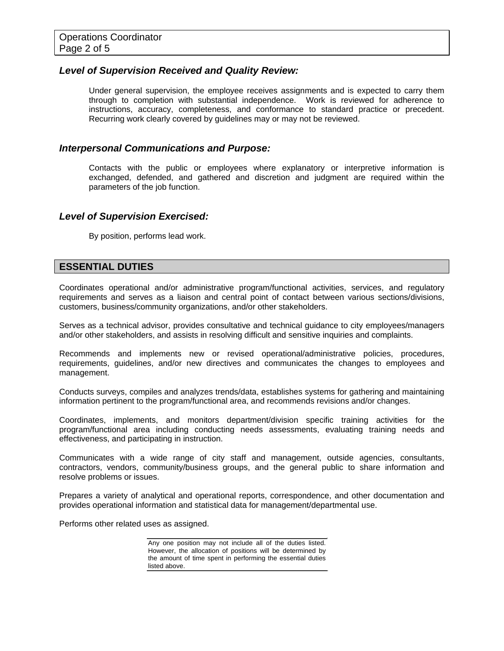# *Level of Supervision Received and Quality Review:*

Under general supervision, the employee receives assignments and is expected to carry them through to completion with substantial independence. Work is reviewed for adherence to instructions, accuracy, completeness, and conformance to standard practice or precedent. Recurring work clearly covered by guidelines may or may not be reviewed.

# *Interpersonal Communications and Purpose:*

Contacts with the public or employees where explanatory or interpretive information is exchanged, defended, and gathered and discretion and judgment are required within the parameters of the job function.

# *Level of Supervision Exercised:*

By position, performs lead work.

# **ESSENTIAL DUTIES**

Coordinates operational and/or administrative program/functional activities, services, and regulatory requirements and serves as a liaison and central point of contact between various sections/divisions, customers, business/community organizations, and/or other stakeholders.

Serves as a technical advisor, provides consultative and technical guidance to city employees/managers and/or other stakeholders, and assists in resolving difficult and sensitive inquiries and complaints.

Recommends and implements new or revised operational/administrative policies, procedures, requirements, guidelines, and/or new directives and communicates the changes to employees and management.

Conducts surveys, compiles and analyzes trends/data, establishes systems for gathering and maintaining information pertinent to the program/functional area, and recommends revisions and/or changes.

Coordinates, implements, and monitors department/division specific training activities for the program/functional area including conducting needs assessments, evaluating training needs and effectiveness, and participating in instruction.

Communicates with a wide range of city staff and management, outside agencies, consultants, contractors, vendors, community/business groups, and the general public to share information and resolve problems or issues.

Prepares a variety of analytical and operational reports, correspondence, and other documentation and provides operational information and statistical data for management/departmental use.

Performs other related uses as assigned.

Any one position may not include all of the duties listed. However, the allocation of positions will be determined by the amount of time spent in performing the essential duties listed above.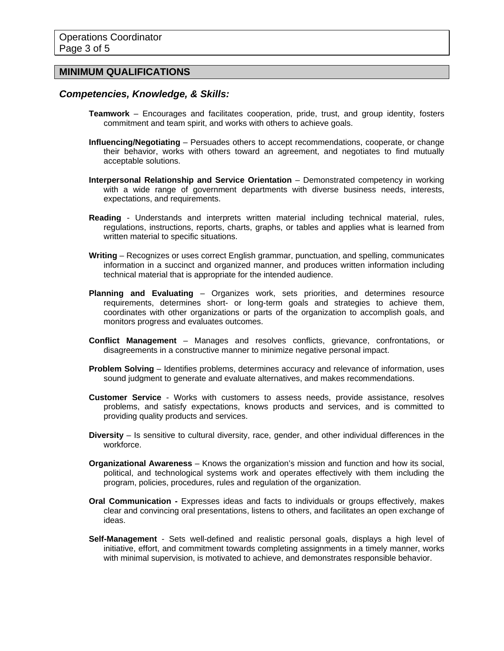# **MINIMUM QUALIFICATIONS**

#### *Competencies, Knowledge, & Skills:*

- **Teamwork** Encourages and facilitates cooperation, pride, trust, and group identity, fosters commitment and team spirit, and works with others to achieve goals.
- **Influencing/Negotiating** Persuades others to accept recommendations, cooperate, or change their behavior, works with others toward an agreement, and negotiates to find mutually acceptable solutions.
- **Interpersonal Relationship and Service Orientation** Demonstrated competency in working with a wide range of government departments with diverse business needs, interests, expectations, and requirements.
- **Reading** Understands and interprets written material including technical material, rules, regulations, instructions, reports, charts, graphs, or tables and applies what is learned from written material to specific situations.
- **Writing** Recognizes or uses correct English grammar, punctuation, and spelling, communicates information in a succinct and organized manner, and produces written information including technical material that is appropriate for the intended audience.
- **Planning and Evaluating** Organizes work, sets priorities, and determines resource requirements, determines short- or long-term goals and strategies to achieve them, coordinates with other organizations or parts of the organization to accomplish goals, and monitors progress and evaluates outcomes.
- **Conflict Management** Manages and resolves conflicts, grievance, confrontations, or disagreements in a constructive manner to minimize negative personal impact.
- **Problem Solving** Identifies problems, determines accuracy and relevance of information, uses sound judgment to generate and evaluate alternatives, and makes recommendations.
- **Customer Service** Works with customers to assess needs, provide assistance, resolves problems, and satisfy expectations, knows products and services, and is committed to providing quality products and services.
- **Diversity** Is sensitive to cultural diversity, race, gender, and other individual differences in the workforce.
- **Organizational Awareness** Knows the organization's mission and function and how its social, political, and technological systems work and operates effectively with them including the program, policies, procedures, rules and regulation of the organization.
- **Oral Communication** Expresses ideas and facts to individuals or groups effectively, makes clear and convincing oral presentations, listens to others, and facilitates an open exchange of ideas.
- **Self-Management** Sets well-defined and realistic personal goals, displays a high level of initiative, effort, and commitment towards completing assignments in a timely manner, works with minimal supervision, is motivated to achieve, and demonstrates responsible behavior.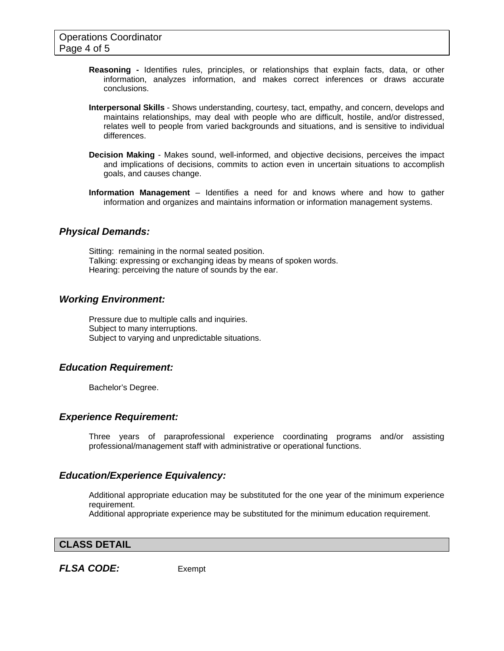- **Reasoning -** Identifies rules, principles, or relationships that explain facts, data, or other information, analyzes information, and makes correct inferences or draws accurate conclusions.
- **Interpersonal Skills** Shows understanding, courtesy, tact, empathy, and concern, develops and maintains relationships, may deal with people who are difficult, hostile, and/or distressed, relates well to people from varied backgrounds and situations, and is sensitive to individual differences.
- **Decision Making** Makes sound, well-informed, and objective decisions, perceives the impact and implications of decisions, commits to action even in uncertain situations to accomplish goals, and causes change.
- **Information Management** Identifies a need for and knows where and how to gather information and organizes and maintains information or information management systems.

# *Physical Demands:*

Sitting: remaining in the normal seated position. Talking: expressing or exchanging ideas by means of spoken words. Hearing: perceiving the nature of sounds by the ear.

# *Working Environment:*

Pressure due to multiple calls and inquiries. Subject to many interruptions. Subject to varying and unpredictable situations.

# *Education Requirement:*

Bachelor's Degree.

#### *Experience Requirement:*

Three years of paraprofessional experience coordinating programs and/or assisting professional/management staff with administrative or operational functions.

#### *Education/Experience Equivalency:*

Additional appropriate education may be substituted for the one year of the minimum experience requirement.

Additional appropriate experience may be substituted for the minimum education requirement.

#### **CLASS DETAIL**

*FLSA CODE:*Exempt